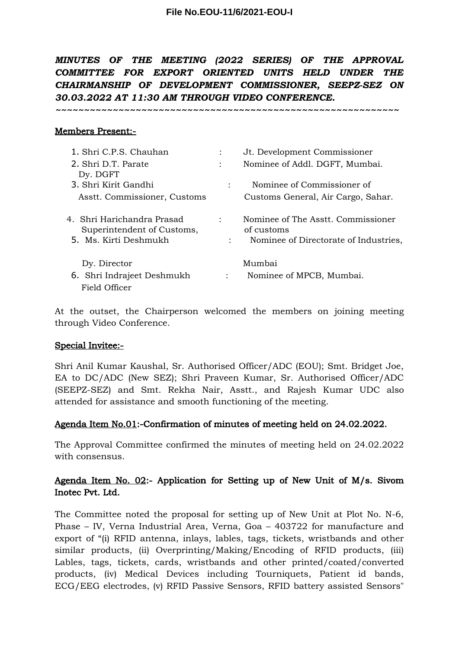*MINUTES OF THE MEETING (2022 SERIES) OF THE APPROVAL COMMITTEE FOR EXPORT ORIENTED UNITS HELD UNDER THE CHAIRMANSHIP OF DEVELOPMENT COMMISSIONER, SEEPZ-SEZ ON 30.03.2022 AT 11:30 AM THROUGH VIDEO CONFERENCE.* 

*~~~~~~~~~~~~~~~~~~~~~~~~~~~~~~~~~~~~~~~~~~~~~~~~~~~~~~~~~~~~*

### Members Present:-

| 1. Shri C.P.S. Chauhan                                                            |                                 | Jt. Development Commissioner                                                              |
|-----------------------------------------------------------------------------------|---------------------------------|-------------------------------------------------------------------------------------------|
| 2. Shri D.T. Parate<br>Dy. DGFT                                                   | $\ddot{\cdot}$                  | Nominee of Addl. DGFT, Mumbai.                                                            |
| 3. Shri Kirit Gandhi                                                              |                                 | Nominee of Commissioner of                                                                |
| Asstt. Commissioner, Customs                                                      |                                 | Customs General, Air Cargo, Sahar.                                                        |
| 4. Shri Harichandra Prasad<br>Superintendent of Customs,<br>5. Ms. Kirti Deshmukh | $\ddot{\cdot}$<br>$\mathcal{L}$ | Nominee of The Asstt. Commissioner<br>of customs<br>Nominee of Directorate of Industries, |
| Dy. Director                                                                      |                                 | Mumbai                                                                                    |
| 6. Shri Indrajeet Deshmukh<br>Field Officer                                       | $\ddot{\cdot}$                  | Nominee of MPCB, Mumbai.                                                                  |

At the outset, the Chairperson welcomed the members on joining meeting through Video Conference.

#### Special Invitee:-

Shri Anil Kumar Kaushal, Sr. Authorised Officer/ADC (EOU); Smt. Bridget Joe, EA to DC/ADC (New SEZ); Shri Praveen Kumar, Sr. Authorised Officer/ADC (SEEPZ-SEZ) and Smt. Rekha Nair, Asstt., and Rajesh Kumar UDC also attended for assistance and smooth functioning of the meeting.

## Agenda Item No.01:-Confirmation of minutes of meeting held on 24.02.2022.

The Approval Committee confirmed the minutes of meeting held on 24.02.2022 with consensus.

# Agenda Item No. 02:- Application for Setting up of New Unit of M/s. Sivom Inotec Pvt. Ltd.

The Committee noted the proposal for setting up of New Unit at Plot No. N-6, Phase – IV, Verna Industrial Area, Verna, Goa – 403722 for manufacture and export of "(i) RFID antenna, inlays, lables, tags, tickets, wristbands and other similar products, (ii) Overprinting/Making/Encoding of RFID products, (iii) Lables, tags, tickets, cards, wristbands and other printed/coated/converted products, (iv) Medical Devices including Tourniquets, Patient id bands, ECG/EEG electrodes, (v) RFID Passive Sensors, RFID battery assisted Sensors"